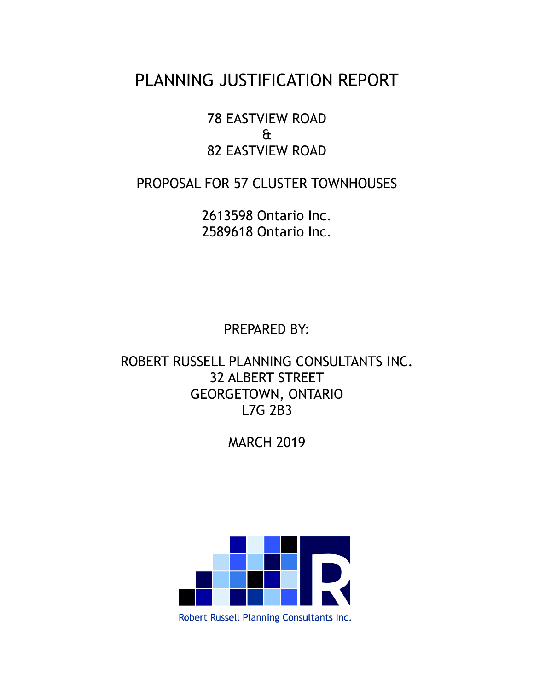# PLANNING JUSTIFICATION REPORT

78 EASTVIEW ROAD & 82 EASTVIEW ROAD

PROPOSAL FOR 57 CLUSTER TOWNHOUSES

2613598 Ontario Inc. 2589618 Ontario Inc.

PREPARED BY:

ROBERT RUSSELL PLANNING CONSULTANTS INC. 32 ALBERT STREET GEORGETOWN, ONTARIO L7G 2B3

MARCH 2019



Robert Russell Planning Consultants Inc.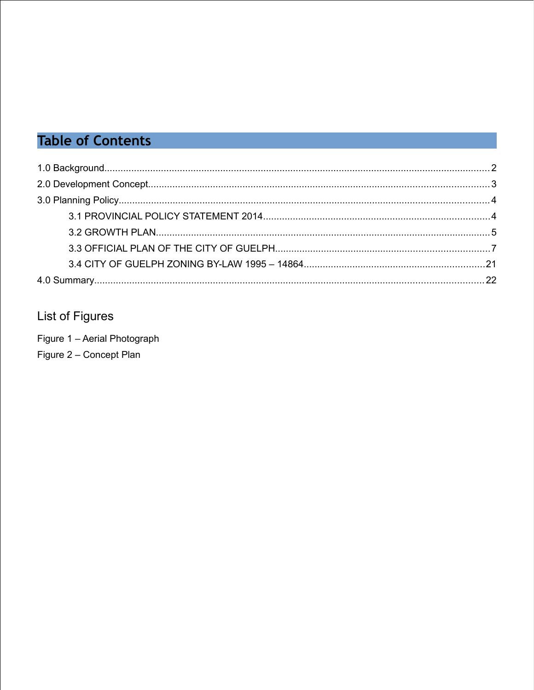# **Table of Contents**

## **List of Figures**

Figure 1 - Aerial Photograph Figure 2 – Concept Plan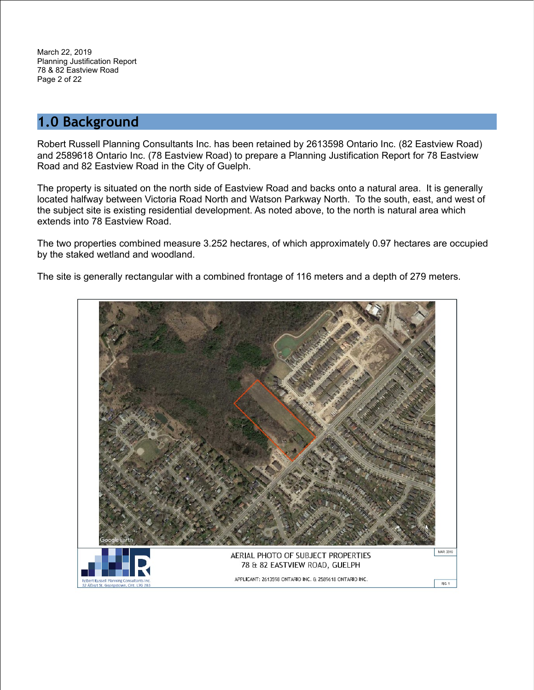March 22, 2019 Planning Justification Report 78 & 82 Eastview Road Page 2 of 22

### <span id="page-2-0"></span>**1.0 Background**

Robert Russell Planning Consultants Inc. has been retained by 2613598 Ontario Inc. (82 Eastview Road) and 2589618 Ontario Inc. (78 Eastview Road) to prepare a Planning Justification Report for 78 Eastview Road and 82 Eastview Road in the City of Guelph.

The property is situated on the north side of Eastview Road and backs onto a natural area. It is generally located halfway between Victoria Road North and Watson Parkway North. To the south, east, and west of the subject site is existing residential development. As noted above, to the north is natural area which extends into 78 Eastview Road.

The two properties combined measure 3.252 hectares, of which approximately 0.97 hectares are occupied by the staked wetland and woodland.

The site is generally rectangular with a combined frontage of 116 meters and a depth of 279 meters.

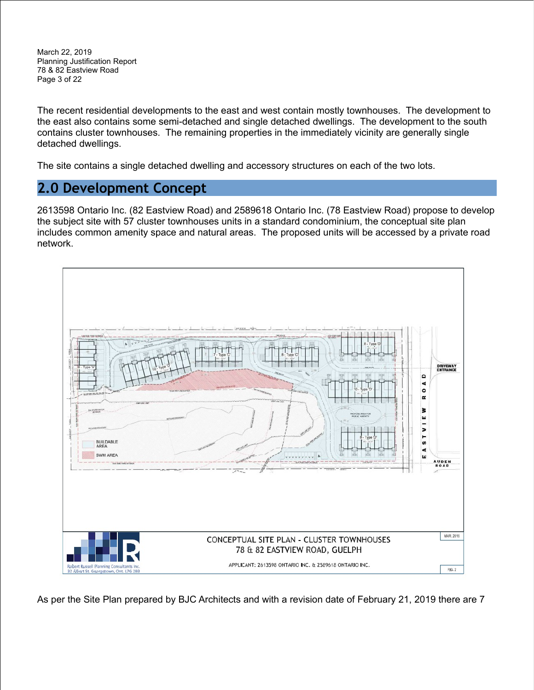March 22, 2019 Planning Justification Report 78 & 82 Eastview Road Page 3 of 22

The recent residential developments to the east and west contain mostly townhouses. The development to the east also contains some semi-detached and single detached dwellings. The development to the south contains cluster townhouses. The remaining properties in the immediately vicinity are generally single detached dwellings.

The site contains a single detached dwelling and accessory structures on each of the two lots.

### <span id="page-3-0"></span>**2.0 Development Concept**

2613598 Ontario Inc. (82 Eastview Road) and 2589618 Ontario Inc. (78 Eastview Road) propose to develop the subject site with 57 cluster townhouses units in a standard condominium, the conceptual site plan includes common amenity space and natural areas. The proposed units will be accessed by a private road network.



As per the Site Plan prepared by BJC Architects and with a revision date of February 21, 2019 there are 7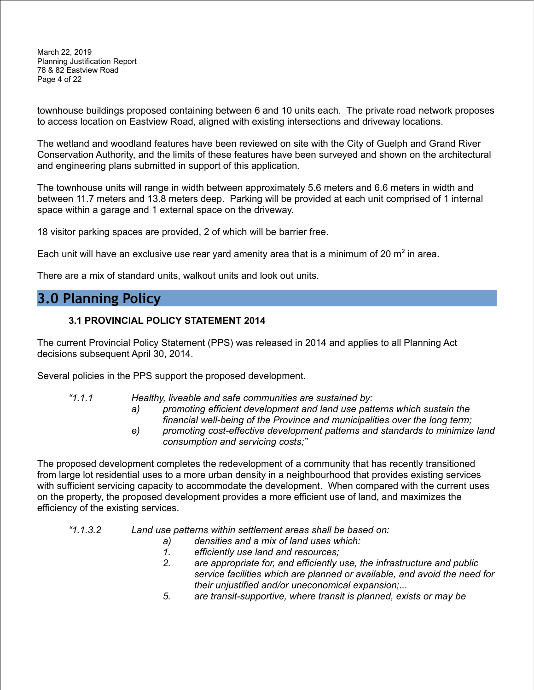March 22, 2019 Planning Justification Report 78 & 82 Eastview Road Page 4 of 22

townhouse buildings proposed containing between 6 and 10 units each. The private road network proposes to access location on Eastview Road, aligned with existing intersections and driveway locations.

The wetland and woodland features have been reviewed on site with the City of Guelph and Grand River Conservation Authority, and the limits of these features have been surveyed and shown on the architectural and engineering plans submitted in support of this application.

The townhouse units will range in width between approximately 5.6 meters and 6.6 meters in width and between 11.7 meters and 13.8 meters deep. Parking will be provided at each unit comprised of 1 internal space within a garage and 1 external space on the driveway.

18 visitor parking spaces are provided, 2 of which will be barrier free.

Each unit will have an exclusive use rear yard amenity area that is a minimum of 20  $m^2$  in area.

There are a mix of standard units, walkout units and look out units.

### <span id="page-4-1"></span>**3.0 Planning Policy**

#### <span id="page-4-0"></span>**3.1 PROVINCIAL POLICY STATEMENT 2014**

The current Provincial Policy Statement (PPS) was released in 2014 and applies to all Planning Act decisions subsequent April 30, 2014.

Several policies in the PPS support the proposed development.

- *"1.1.1 Healthy, liveable and safe communities are sustained by:*
	- *a) promoting efficient development and land use patterns which sustain the financial well-being of the Province and municipalities over the long term;*
	- *e) promoting cost-effective development patterns and standards to minimize land consumption and servicing costs;"*

The proposed development completes the redevelopment of a community that has recently transitioned from large lot residential uses to a more urban density in a neighbourhood that provides existing services with sufficient servicing capacity to accommodate the development. When compared with the current uses on the property, the proposed development provides a more efficient use of land, and maximizes the efficiency of the existing services.

- *"1.1.3.2 Land use patterns within settlement areas shall be based on:*
	- *a) densities and a mix of land uses which:*
	- *1. efficiently use land and resources;*
	- *2. are appropriate for, and efficiently use, the infrastructure and public service facilities which are planned or available, and avoid the need for their unjustified and/or uneconomical expansion;...*
	- *5. are transit-supportive, where transit is planned, exists or may be*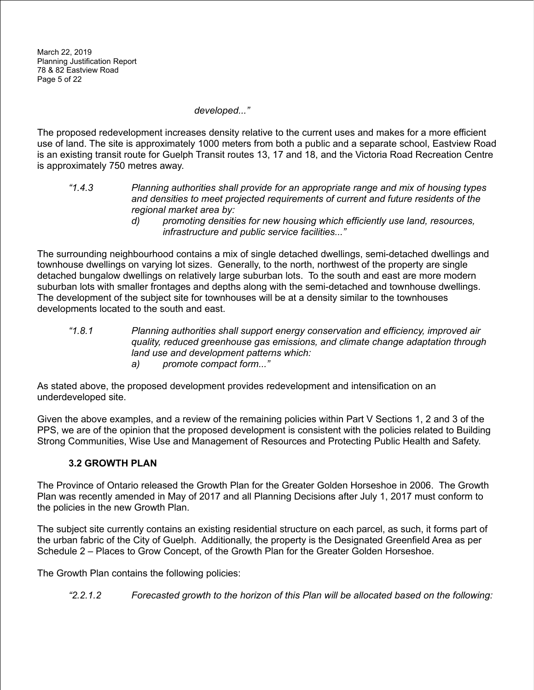*developed..."*

The proposed redevelopment increases density relative to the current uses and makes for a more efficient use of land. The site is approximately 1000 meters from both a public and a separate school, Eastview Road is an existing transit route for Guelph Transit routes 13, 17 and 18, and the Victoria Road Recreation Centre is approximately 750 metres away.

- *"1.4.3 Planning authorities shall provide for an appropriate range and mix of housing types and densities to meet projected requirements of current and future residents of the regional market area by:*
	- *d) promoting densities for new housing which efficiently use land, resources, infrastructure and public service facilities..."*

The surrounding neighbourhood contains a mix of single detached dwellings, semi-detached dwellings and townhouse dwellings on varying lot sizes. Generally, to the north, northwest of the property are single detached bungalow dwellings on relatively large suburban lots. To the south and east are more modern suburban lots with smaller frontages and depths along with the semi-detached and townhouse dwellings. The development of the subject site for townhouses will be at a density similar to the townhouses developments located to the south and east.

*"1.8.1 Planning authorities shall support energy conservation and efficiency, improved air quality, reduced greenhouse gas emissions, and climate change adaptation through land use and development patterns which: a) promote compact form..."*

As stated above, the proposed development provides redevelopment and intensification on an underdeveloped site.

Given the above examples, and a review of the remaining policies within Part V Sections 1, 2 and 3 of the PPS, we are of the opinion that the proposed development is consistent with the policies related to Building Strong Communities, Wise Use and Management of Resources and Protecting Public Health and Safety.

#### <span id="page-5-0"></span>**3.2 GROWTH PLAN**

The Province of Ontario released the Growth Plan for the Greater Golden Horseshoe in 2006. The Growth Plan was recently amended in May of 2017 and all Planning Decisions after July 1, 2017 must conform to the policies in the new Growth Plan.

The subject site currently contains an existing residential structure on each parcel, as such, it forms part of the urban fabric of the City of Guelph. Additionally, the property is the Designated Greenfield Area as per Schedule 2 – Places to Grow Concept, of the Growth Plan for the Greater Golden Horseshoe.

The Growth Plan contains the following policies:

*"2.2.1.2 Forecasted growth to the horizon of this Plan will be allocated based on the following:*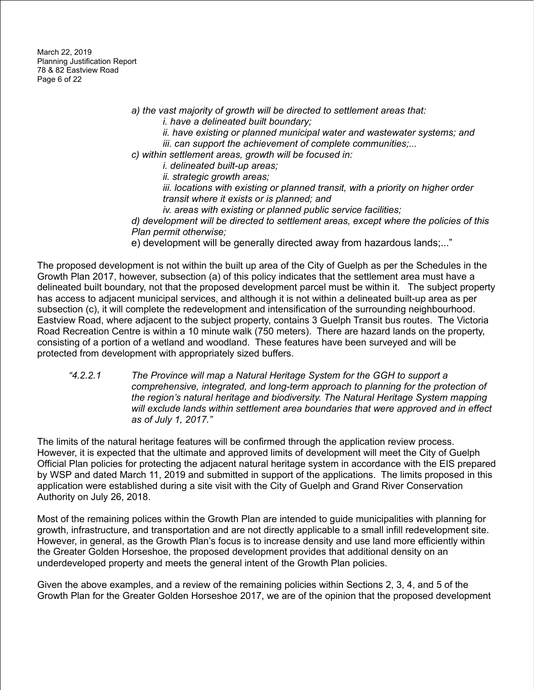March 22, 2019 Planning Justification Report 78 & 82 Eastview Road Page 6 of 22

- *a) the vast majority of growth will be directed to settlement areas that:*
	- *i. have a delineated built boundary;*
	- *ii. have existing or planned municipal water and wastewater systems; and*
	- *iii. can support the achievement of complete communities;...*
- *c) within settlement areas, growth will be focused in:*
	- *i. delineated built-up areas;*
		- *ii. strategic growth areas;*
		- *iii. locations with existing or planned transit, with a priority on higher order transit where it exists or is planned; and*
		- *iv. areas with existing or planned public service facilities;*
- *d) development will be directed to settlement areas, except where the policies of this Plan permit otherwise;*
- e) development will be generally directed away from hazardous lands;..."

The proposed development is not within the built up area of the City of Guelph as per the Schedules in the Growth Plan 2017, however, subsection (a) of this policy indicates that the settlement area must have a delineated built boundary, not that the proposed development parcel must be within it. The subject property has access to adjacent municipal services, and although it is not within a delineated built-up area as per subsection (c), it will complete the redevelopment and intensification of the surrounding neighbourhood. Eastview Road, where adjacent to the subject property, contains 3 Guelph Transit bus routes. The Victoria Road Recreation Centre is within a 10 minute walk (750 meters). There are hazard lands on the property, consisting of a portion of a wetland and woodland. These features have been surveyed and will be protected from development with appropriately sized buffers.

*"4.2.2.1 The Province will map a Natural Heritage System for the GGH to support a comprehensive, integrated, and long-term approach to planning for the protection of the region's natural heritage and biodiversity. The Natural Heritage System mapping will exclude lands within settlement area boundaries that were approved and in effect as of July 1, 2017."*

The limits of the natural heritage features will be confirmed through the application review process. However, it is expected that the ultimate and approved limits of development will meet the City of Guelph Official Plan policies for protecting the adjacent natural heritage system in accordance with the EIS prepared by WSP and dated March 11, 2019 and submitted in support of the applications. The limits proposed in this application were established during a site visit with the City of Guelph and Grand River Conservation Authority on July 26, 2018.

Most of the remaining polices within the Growth Plan are intended to guide municipalities with planning for growth, infrastructure, and transportation and are not directly applicable to a small infill redevelopment site. However, in general, as the Growth Plan's focus is to increase density and use land more efficiently within the Greater Golden Horseshoe, the proposed development provides that additional density on an underdeveloped property and meets the general intent of the Growth Plan policies.

Given the above examples, and a review of the remaining policies within Sections 2, 3, 4, and 5 of the Growth Plan for the Greater Golden Horseshoe 2017, we are of the opinion that the proposed development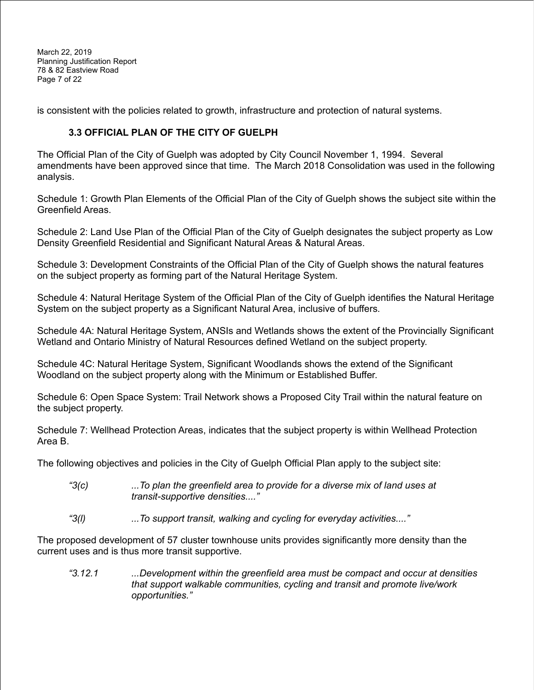March 22, 2019 Planning Justification Report 78 & 82 Eastview Road Page 7 of 22

is consistent with the policies related to growth, infrastructure and protection of natural systems.

#### <span id="page-7-0"></span>**3.3 OFFICIAL PLAN OF THE CITY OF GUELPH**

The Official Plan of the City of Guelph was adopted by City Council November 1, 1994. Several amendments have been approved since that time. The March 2018 Consolidation was used in the following analysis.

Schedule 1: Growth Plan Elements of the Official Plan of the City of Guelph shows the subject site within the Greenfield Areas.

Schedule 2: Land Use Plan of the Official Plan of the City of Guelph designates the subject property as Low Density Greenfield Residential and Significant Natural Areas & Natural Areas.

Schedule 3: Development Constraints of the Official Plan of the City of Guelph shows the natural features on the subject property as forming part of the Natural Heritage System.

Schedule 4: Natural Heritage System of the Official Plan of the City of Guelph identifies the Natural Heritage System on the subject property as a Significant Natural Area, inclusive of buffers.

Schedule 4A: Natural Heritage System, ANSIs and Wetlands shows the extent of the Provincially Significant Wetland and Ontario Ministry of Natural Resources defined Wetland on the subject property.

Schedule 4C: Natural Heritage System, Significant Woodlands shows the extend of the Significant Woodland on the subject property along with the Minimum or Established Buffer.

Schedule 6: Open Space System: Trail Network shows a Proposed City Trail within the natural feature on the subject property.

Schedule 7: Wellhead Protection Areas, indicates that the subject property is within Wellhead Protection Area B.

The following objectives and policies in the City of Guelph Official Plan apply to the subject site:

- *"3(c) ...To plan the greenfield area to provide for a diverse mix of land uses at transit-supportive densities...."*
- *"3(l) ...To support transit, walking and cycling for everyday activities...."*

The proposed development of 57 cluster townhouse units provides significantly more density than the current uses and is thus more transit supportive.

*"3.12.1 ...Development within the greenfield area must be compact and occur at densities that support walkable communities, cycling and transit and promote live/work opportunities."*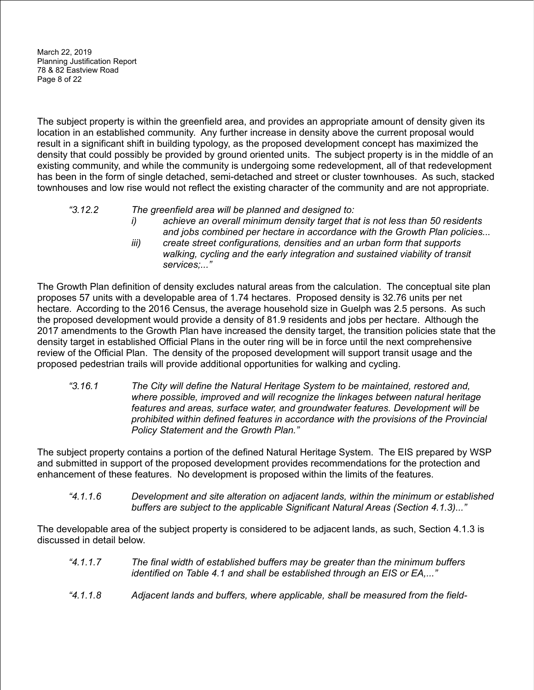March 22, 2019 Planning Justification Report 78 & 82 Eastview Road Page 8 of 22

The subject property is within the greenfield area, and provides an appropriate amount of density given its location in an established community. Any further increase in density above the current proposal would result in a significant shift in building typology, as the proposed development concept has maximized the density that could possibly be provided by ground oriented units. The subject property is in the middle of an existing community, and while the community is undergoing some redevelopment, all of that redevelopment has been in the form of single detached, semi-detached and street or cluster townhouses. As such, stacked townhouses and low rise would not reflect the existing character of the community and are not appropriate.

#### *"3.12.2 The greenfield area will be planned and designed to:*

- *i) achieve an overall minimum density target that is not less than 50 residents and jobs combined per hectare in accordance with the Growth Plan policies...*
- *iii) create street configurations, densities and an urban form that supports walking, cycling and the early integration and sustained viability of transit services;..."*

The Growth Plan definition of density excludes natural areas from the calculation. The conceptual site plan proposes 57 units with a developable area of 1.74 hectares. Proposed density is 32.76 units per net hectare. According to the 2016 Census, the average household size in Guelph was 2.5 persons. As such the proposed development would provide a density of 81.9 residents and jobs per hectare. Although the 2017 amendments to the Growth Plan have increased the density target, the transition policies state that the density target in established Official Plans in the outer ring will be in force until the next comprehensive review of the Official Plan. The density of the proposed development will support transit usage and the proposed pedestrian trails will provide additional opportunities for walking and cycling.

*"3.16.1 The City will define the Natural Heritage System to be maintained, restored and, where possible, improved and will recognize the linkages between natural heritage features and areas, surface water, and groundwater features. Development will be prohibited within defined features in accordance with the provisions of the Provincial Policy Statement and the Growth Plan."*

The subject property contains a portion of the defined Natural Heritage System. The EIS prepared by WSP and submitted in support of the proposed development provides recommendations for the protection and enhancement of these features. No development is proposed within the limits of the features.

*"4.1.1.6 Development and site alteration on adjacent lands, within the minimum or established buffers are subject to the applicable Significant Natural Areas (Section 4.1.3)..."*

The developable area of the subject property is considered to be adjacent lands, as such, Section 4.1.3 is discussed in detail below.

- *"4.1.1.7 The final width of established buffers may be greater than the minimum buffers identified on Table 4.1 and shall be established through an EIS or EA,..."*
- *"4.1.1.8 Adjacent lands and buffers, where applicable, shall be measured from the field-*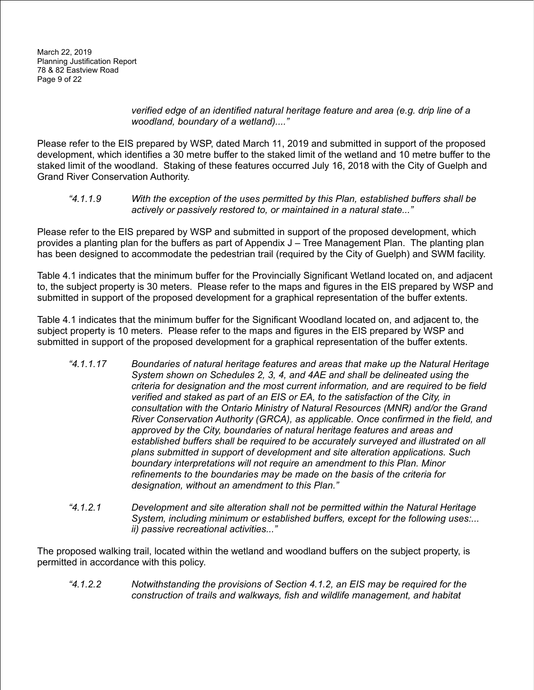*verified edge of an identified natural heritage feature and area (e.g. drip line of a woodland, boundary of a wetland)...."*

Please refer to the EIS prepared by WSP, dated March 11, 2019 and submitted in support of the proposed development, which identifies a 30 metre buffer to the staked limit of the wetland and 10 metre buffer to the staked limit of the woodland. Staking of these features occurred July 16, 2018 with the City of Guelph and Grand River Conservation Authority.

*"4.1.1.9 With the exception of the uses permitted by this Plan, established buffers shall be actively or passively restored to, or maintained in a natural state..."*

Please refer to the EIS prepared by WSP and submitted in support of the proposed development, which provides a planting plan for the buffers as part of Appendix J – Tree Management Plan. The planting plan has been designed to accommodate the pedestrian trail (required by the City of Guelph) and SWM facility.

Table 4.1 indicates that the minimum buffer for the Provincially Significant Wetland located on, and adjacent to, the subject property is 30 meters. Please refer to the maps and figures in the EIS prepared by WSP and submitted in support of the proposed development for a graphical representation of the buffer extents.

Table 4.1 indicates that the minimum buffer for the Significant Woodland located on, and adjacent to, the subject property is 10 meters. Please refer to the maps and figures in the EIS prepared by WSP and submitted in support of the proposed development for a graphical representation of the buffer extents.

- *"4.1.1.17 Boundaries of natural heritage features and areas that make up the Natural Heritage System shown on Schedules 2, 3, 4, and 4AE and shall be delineated using the criteria for designation and the most current information, and are required to be field verified and staked as part of an EIS or EA, to the satisfaction of the City, in consultation with the Ontario Ministry of Natural Resources (MNR) and/or the Grand River Conservation Authority (GRCA), as applicable. Once confirmed in the field, and approved by the City, boundaries of natural heritage features and areas and established buffers shall be required to be accurately surveyed and illustrated on all plans submitted in support of development and site alteration applications. Such boundary interpretations will not require an amendment to this Plan. Minor refinements to the boundaries may be made on the basis of the criteria for designation, without an amendment to this Plan."*
- *"4.1.2.1 Development and site alteration shall not be permitted within the Natural Heritage System, including minimum or established buffers, except for the following uses:... ii) passive recreational activities..."*

The proposed walking trail, located within the wetland and woodland buffers on the subject property, is permitted in accordance with this policy.

*"4.1.2.2 Notwithstanding the provisions of Section 4.1.2, an EIS may be required for the construction of trails and walkways, fish and wildlife management, and habitat*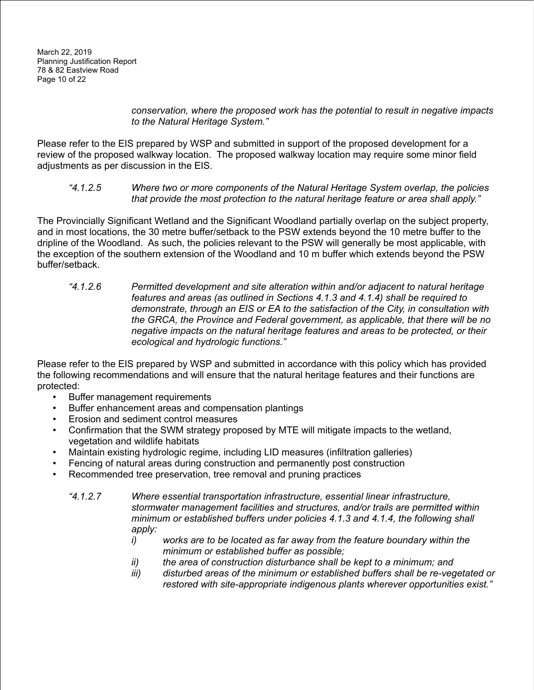*conservation, where the proposed work has the potential to result in negative impacts to the Natural Heritage System."*

Please refer to the EIS prepared by WSP and submitted in support of the proposed development for a review of the proposed walkway location. The proposed walkway location may require some minor field adjustments as per discussion in the EIS.

#### *"4.1.2.5 Where two or more components of the Natural Heritage System overlap, the policies that provide the most protection to the natural heritage feature or area shall apply."*

The Provincially Significant Wetland and the Significant Woodland partially overlap on the subject property, and in most locations, the 30 metre buffer/setback to the PSW extends beyond the 10 metre buffer to the dripline of the Woodland. As such, the policies relevant to the PSW will generally be most applicable, with the exception of the southern extension of the Woodland and 10 m buffer which extends beyond the PSW buffer/setback.

*"4.1.2.6 Permitted development and site alteration within and/or adjacent to natural heritage features and areas (as outlined in Sections 4.1.3 and 4.1.4) shall be required to demonstrate, through an EIS or EA to the satisfaction of the City, in consultation with the GRCA, the Province and Federal government, as applicable, that there will be no negative impacts on the natural heritage features and areas to be protected, or their ecological and hydrologic functions."*

Please refer to the EIS prepared by WSP and submitted in accordance with this policy which has provided the following recommendations and will ensure that the natural heritage features and their functions are protected:

- Buffer management requirements
- Buffer enhancement areas and compensation plantings
- Erosion and sediment control measures
- Confirmation that the SWM strategy proposed by MTE will mitigate impacts to the wetland, vegetation and wildlife habitats
- Maintain existing hydrologic regime, including LID measures (infiltration galleries)
- Fencing of natural areas during construction and permanently post construction
- Recommended tree preservation, tree removal and pruning practices
	- *"4.1.2.7 Where essential transportation infrastructure, essential linear infrastructure, stormwater management facilities and structures, and/or trails are permitted within minimum or established buffers under policies 4.1.3 and 4.1.4, the following shall apply:*
		- *i) works are to be located as far away from the feature boundary within the minimum or established buffer as possible;*
		- *ii) the area of construction disturbance shall be kept to a minimum; and*
		- *iii) disturbed areas of the minimum or established buffers shall be re-vegetated or restored with site-appropriate indigenous plants wherever opportunities exist."*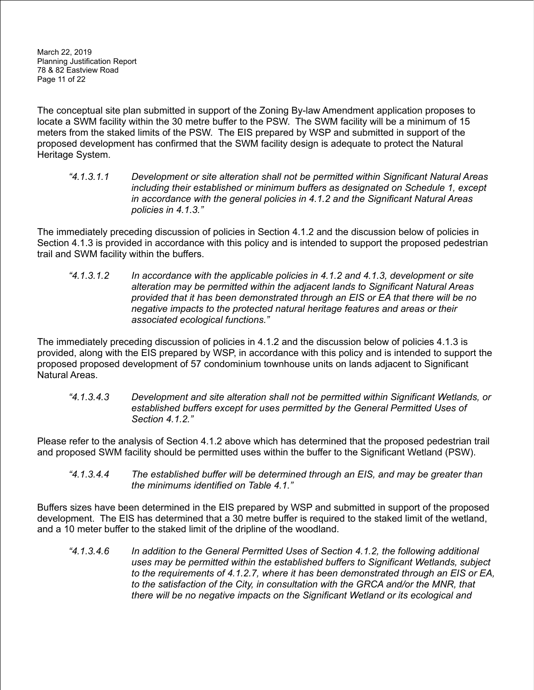March 22, 2019 Planning Justification Report 78 & 82 Eastview Road Page 11 of 22

The conceptual site plan submitted in support of the Zoning By-law Amendment application proposes to locate a SWM facility within the 30 metre buffer to the PSW. The SWM facility will be a minimum of 15 meters from the staked limits of the PSW. The EIS prepared by WSP and submitted in support of the proposed development has confirmed that the SWM facility design is adequate to protect the Natural Heritage System.

*"4.1.3.1.1 Development or site alteration shall not be permitted within Significant Natural Areas including their established or minimum buffers as designated on Schedule 1, except in accordance with the general policies in 4.1.2 and the Significant Natural Areas policies in 4.1.3."*

The immediately preceding discussion of policies in Section 4.1.2 and the discussion below of policies in Section 4.1.3 is provided in accordance with this policy and is intended to support the proposed pedestrian trail and SWM facility within the buffers.

*"4.1.3.1.2 In accordance with the applicable policies in 4.1.2 and 4.1.3, development or site alteration may be permitted within the adjacent lands to Significant Natural Areas provided that it has been demonstrated through an EIS or EA that there will be no negative impacts to the protected natural heritage features and areas or their associated ecological functions."*

The immediately preceding discussion of policies in 4.1.2 and the discussion below of policies 4.1.3 is provided, along with the EIS prepared by WSP, in accordance with this policy and is intended to support the proposed proposed development of 57 condominium townhouse units on lands adjacent to Significant Natural Areas.

*"4.1.3.4.3 Development and site alteration shall not be permitted within Significant Wetlands, or established buffers except for uses permitted by the General Permitted Uses of Section 4.1.2."*

Please refer to the analysis of Section 4.1.2 above which has determined that the proposed pedestrian trail and proposed SWM facility should be permitted uses within the buffer to the Significant Wetland (PSW).

*"4.1.3.4.4 The established buffer will be determined through an EIS, and may be greater than the minimums identified on Table 4.1."*

Buffers sizes have been determined in the EIS prepared by WSP and submitted in support of the proposed development. The EIS has determined that a 30 metre buffer is required to the staked limit of the wetland, and a 10 meter buffer to the staked limit of the dripline of the woodland.

*"4.1.3.4.6 In addition to the General Permitted Uses of Section 4.1.2, the following additional uses may be permitted within the established buffers to Significant Wetlands, subject to the requirements of 4.1.2.7, where it has been demonstrated through an EIS or EA,* to the satisfaction of the City, in consultation with the GRCA and/or the MNR, that *there will be no negative impacts on the Significant Wetland or its ecological and*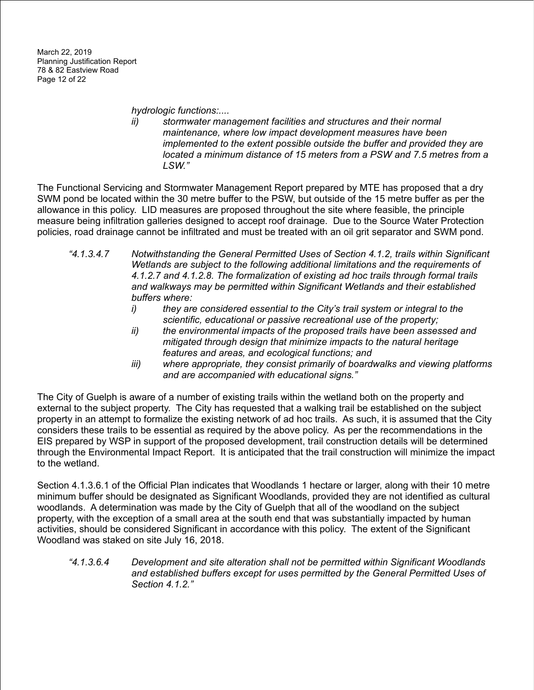*hydrologic functions:....*

*ii) stormwater management facilities and structures and their normal maintenance, where low impact development measures have been implemented to the extent possible outside the buffer and provided they are located a minimum distance of 15 meters from a PSW and 7.5 metres from a LSW."*

The Functional Servicing and Stormwater Management Report prepared by MTE has proposed that a dry SWM pond be located within the 30 metre buffer to the PSW, but outside of the 15 metre buffer as per the allowance in this policy. LID measures are proposed throughout the site where feasible, the principle measure being infiltration galleries designed to accept roof drainage. Due to the Source Water Protection policies, road drainage cannot be infiltrated and must be treated with an oil grit separator and SWM pond.

- *"4.1.3.4.7 Notwithstanding the General Permitted Uses of Section 4.1.2, trails within Significant Wetlands are subject to the following additional limitations and the requirements of 4.1.2.7 and 4.1.2.8. The formalization of existing ad hoc trails through formal trails and walkways may be permitted within Significant Wetlands and their established buffers where:*
	- *i) they are considered essential to the City's trail system or integral to the scientific, educational or passive recreational use of the property;*
	- *ii) the environmental impacts of the proposed trails have been assessed and mitigated through design that minimize impacts to the natural heritage features and areas, and ecological functions; and*
	- *iii) where appropriate, they consist primarily of boardwalks and viewing platforms and are accompanied with educational signs."*

The City of Guelph is aware of a number of existing trails within the wetland both on the property and external to the subject property. The City has requested that a walking trail be established on the subject property in an attempt to formalize the existing network of ad hoc trails. As such, it is assumed that the City considers these trails to be essential as required by the above policy. As per the recommendations in the EIS prepared by WSP in support of the proposed development, trail construction details will be determined through the Environmental Impact Report. It is anticipated that the trail construction will minimize the impact to the wetland.

Section 4.1.3.6.1 of the Official Plan indicates that Woodlands 1 hectare or larger, along with their 10 metre minimum buffer should be designated as Significant Woodlands, provided they are not identified as cultural woodlands. A determination was made by the City of Guelph that all of the woodland on the subject property, with the exception of a small area at the south end that was substantially impacted by human activities, should be considered Significant in accordance with this policy. The extent of the Significant Woodland was staked on site July 16, 2018.

*"4.1.3.6.4 Development and site alteration shall not be permitted within Significant Woodlands and established buffers except for uses permitted by the General Permitted Uses of Section 4.1.2."*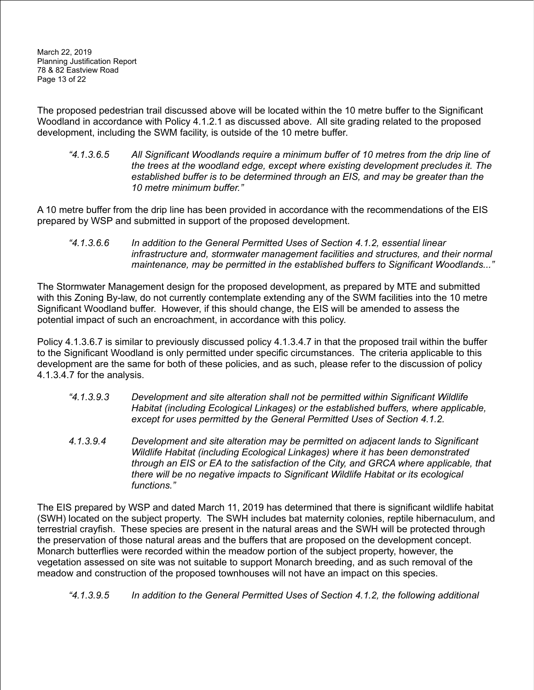The proposed pedestrian trail discussed above will be located within the 10 metre buffer to the Significant Woodland in accordance with Policy 4.1.2.1 as discussed above. All site grading related to the proposed development, including the SWM facility, is outside of the 10 metre buffer.

*"4.1.3.6.5 All Significant Woodlands require a minimum buffer of 10 metres from the drip line of the trees at the woodland edge, except where existing development precludes it. The established buffer is to be determined through an EIS, and may be greater than the 10 metre minimum buffer."*

A 10 metre buffer from the drip line has been provided in accordance with the recommendations of the EIS prepared by WSP and submitted in support of the proposed development.

*"4.1.3.6.6 In addition to the General Permitted Uses of Section 4.1.2, essential linear infrastructure and, stormwater management facilities and structures, and their normal maintenance, may be permitted in the established buffers to Significant Woodlands..."*

The Stormwater Management design for the proposed development, as prepared by MTE and submitted with this Zoning By-law, do not currently contemplate extending any of the SWM facilities into the 10 metre Significant Woodland buffer. However, if this should change, the EIS will be amended to assess the potential impact of such an encroachment, in accordance with this policy.

Policy 4.1.3.6.7 is similar to previously discussed policy 4.1.3.4.7 in that the proposed trail within the buffer to the Significant Woodland is only permitted under specific circumstances. The criteria applicable to this development are the same for both of these policies, and as such, please refer to the discussion of policy 4.1.3.4.7 for the analysis.

- *"4.1.3.9.3 Development and site alteration shall not be permitted within Significant Wildlife Habitat (including Ecological Linkages) or the established buffers, where applicable, except for uses permitted by the General Permitted Uses of Section 4.1.2.*
- *4.1.3.9.4 Development and site alteration may be permitted on adjacent lands to Significant Wildlife Habitat (including Ecological Linkages) where it has been demonstrated through an EIS or EA to the satisfaction of the City, and GRCA where applicable, that there will be no negative impacts to Significant Wildlife Habitat or its ecological functions."*

The EIS prepared by WSP and dated March 11, 2019 has determined that there is significant wildlife habitat (SWH) located on the subject property. The SWH includes bat maternity colonies, reptile hibernaculum, and terrestrial crayfish. These species are present in the natural areas and the SWH will be protected through the preservation of those natural areas and the buffers that are proposed on the development concept. Monarch butterflies were recorded within the meadow portion of the subject property, however, the vegetation assessed on site was not suitable to support Monarch breeding, and as such removal of the meadow and construction of the proposed townhouses will not have an impact on this species.

*"4.1.3.9.5 In addition to the General Permitted Uses of Section 4.1.2, the following additional*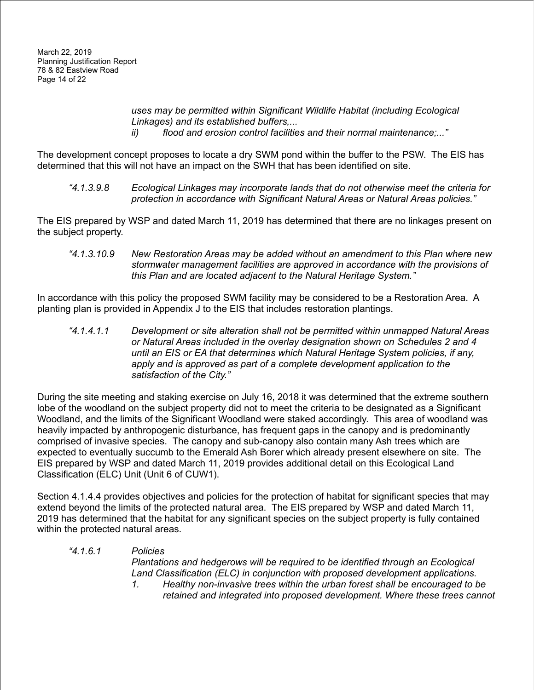*uses may be permitted within Significant Wildlife Habitat (including Ecological Linkages) and its established buffers,... ii) flood and erosion control facilities and their normal maintenance;..."*

The development concept proposes to locate a dry SWM pond within the buffer to the PSW. The EIS has determined that this will not have an impact on the SWH that has been identified on site.

*"4.1.3.9.8 Ecological Linkages may incorporate lands that do not otherwise meet the criteria for protection in accordance with Significant Natural Areas or Natural Areas policies."*

The EIS prepared by WSP and dated March 11, 2019 has determined that there are no linkages present on the subject property.

*"4.1.3.10.9 New Restoration Areas may be added without an amendment to this Plan where new stormwater management facilities are approved in accordance with the provisions of this Plan and are located adjacent to the Natural Heritage System."*

In accordance with this policy the proposed SWM facility may be considered to be a Restoration Area. A planting plan is provided in Appendix J to the EIS that includes restoration plantings.

*"4.1.4.1.1 Development or site alteration shall not be permitted within unmapped Natural Areas or Natural Areas included in the overlay designation shown on Schedules 2 and 4 until an EIS or EA that determines which Natural Heritage System policies, if any, apply and is approved as part of a complete development application to the satisfaction of the City."*

During the site meeting and staking exercise on July 16, 2018 it was determined that the extreme southern lobe of the woodland on the subject property did not to meet the criteria to be designated as a Significant Woodland, and the limits of the Significant Woodland were staked accordingly. This area of woodland was heavily impacted by anthropogenic disturbance, has frequent gaps in the canopy and is predominantly comprised of invasive species. The canopy and sub-canopy also contain many Ash trees which are expected to eventually succumb to the Emerald Ash Borer which already present elsewhere on site. The EIS prepared by WSP and dated March 11, 2019 provides additional detail on this Ecological Land Classification (ELC) Unit (Unit 6 of CUW1).

Section 4.1.4.4 provides objectives and policies for the protection of habitat for significant species that may extend beyond the limits of the protected natural area. The EIS prepared by WSP and dated March 11, 2019 has determined that the habitat for any significant species on the subject property is fully contained within the protected natural areas.

#### *"4.1.6.1 Policies*

*Plantations and hedgerows will be required to be identified through an Ecological Land Classification (ELC) in conjunction with proposed development applications.*

*1. Healthy non-invasive trees within the urban forest shall be encouraged to be retained and integrated into proposed development. Where these trees cannot*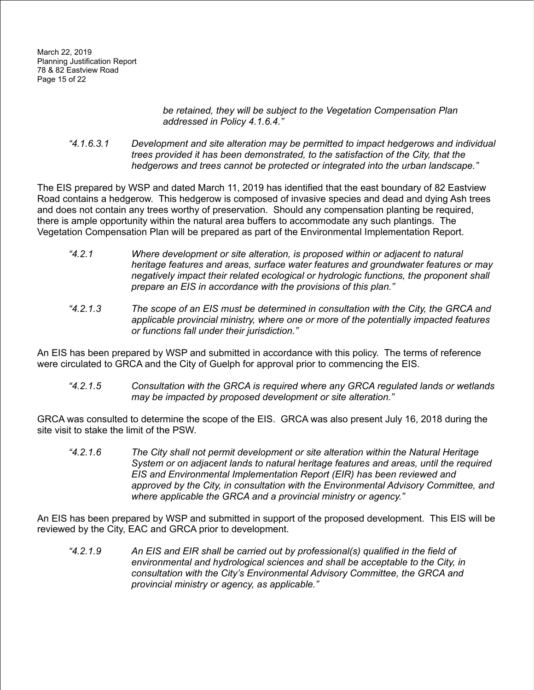#### *be retained, they will be subject to the Vegetation Compensation Plan addressed in Policy 4.1.6.4."*

*"4.1.6.3.1 Development and site alteration may be permitted to impact hedgerows and individual trees provided it has been demonstrated, to the satisfaction of the City, that the hedgerows and trees cannot be protected or integrated into the urban landscape."*

The EIS prepared by WSP and dated March 11, 2019 has identified that the east boundary of 82 Eastview Road contains a hedgerow. This hedgerow is composed of invasive species and dead and dying Ash trees and does not contain any trees worthy of preservation. Should any compensation planting be required, there is ample opportunity within the natural area buffers to accommodate any such plantings. The Vegetation Compensation Plan will be prepared as part of the Environmental Implementation Report.

- *"4.2.1 Where development or site alteration, is proposed within or adjacent to natural heritage features and areas, surface water features and groundwater features or may negatively impact their related ecological or hydrologic functions, the proponent shall prepare an EIS in accordance with the provisions of this plan."*
- *"4.2.1.3 The scope of an EIS must be determined in consultation with the City, the GRCA and applicable provincial ministry, where one or more of the potentially impacted features or functions fall under their jurisdiction."*

An EIS has been prepared by WSP and submitted in accordance with this policy. The terms of reference were circulated to GRCA and the City of Guelph for approval prior to commencing the EIS.

*"4.2.1.5 Consultation with the GRCA is required where any GRCA regulated lands or wetlands may be impacted by proposed development or site alteration."*

GRCA was consulted to determine the scope of the EIS. GRCA was also present July 16, 2018 during the site visit to stake the limit of the PSW.

*"4.2.1.6 The City shall not permit development or site alteration within the Natural Heritage System or on adjacent lands to natural heritage features and areas, until the required EIS and Environmental Implementation Report (EIR) has been reviewed and approved by the City, in consultation with the Environmental Advisory Committee, and where applicable the GRCA and a provincial ministry or agency."*

An EIS has been prepared by WSP and submitted in support of the proposed development. This EIS will be reviewed by the City, EAC and GRCA prior to development.

*"4.2.1.9 An EIS and EIR shall be carried out by professional(s) qualified in the field of environmental and hydrological sciences and shall be acceptable to the City, in consultation with the City's Environmental Advisory Committee, the GRCA and provincial ministry or agency, as applicable."*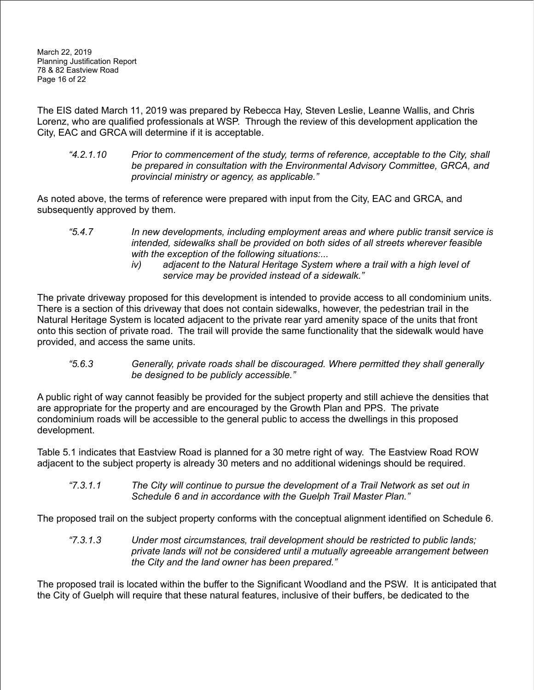The EIS dated March 11, 2019 was prepared by Rebecca Hay, Steven Leslie, Leanne Wallis, and Chris Lorenz, who are qualified professionals at WSP. Through the review of this development application the City, EAC and GRCA will determine if it is acceptable.

*"4.2.1.10 Prior to commencement of the study, terms of reference, acceptable to the City, shall be prepared in consultation with the Environmental Advisory Committee, GRCA, and provincial ministry or agency, as applicable."*

As noted above, the terms of reference were prepared with input from the City, EAC and GRCA, and subsequently approved by them.

- *"5.4.7 In new developments, including employment areas and where public transit service is intended, sidewalks shall be provided on both sides of all streets wherever feasible with the exception of the following situations:...*
	- *iv) adjacent to the Natural Heritage System where a trail with a high level of service may be provided instead of a sidewalk."*

The private driveway proposed for this development is intended to provide access to all condominium units. There is a section of this driveway that does not contain sidewalks, however, the pedestrian trail in the Natural Heritage System is located adjacent to the private rear yard amenity space of the units that front onto this section of private road. The trail will provide the same functionality that the sidewalk would have provided, and access the same units.

*"5.6.3 Generally, private roads shall be discouraged. Where permitted they shall generally be designed to be publicly accessible."*

A public right of way cannot feasibly be provided for the subject property and still achieve the densities that are appropriate for the property and are encouraged by the Growth Plan and PPS. The private condominium roads will be accessible to the general public to access the dwellings in this proposed development.

Table 5.1 indicates that Eastview Road is planned for a 30 metre right of way. The Eastview Road ROW adjacent to the subject property is already 30 meters and no additional widenings should be required.

*"7.3.1.1 The City will continue to pursue the development of a Trail Network as set out in Schedule 6 and in accordance with the Guelph Trail Master Plan."*

The proposed trail on the subject property conforms with the conceptual alignment identified on Schedule 6.

*"7.3.1.3 Under most circumstances, trail development should be restricted to public lands; private lands will not be considered until a mutually agreeable arrangement between the City and the land owner has been prepared."*

The proposed trail is located within the buffer to the Significant Woodland and the PSW. It is anticipated that the City of Guelph will require that these natural features, inclusive of their buffers, be dedicated to the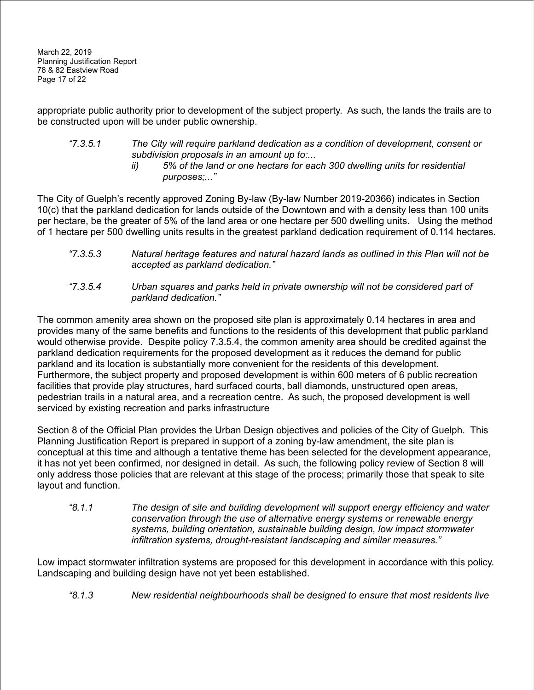March 22, 2019 Planning Justification Report 78 & 82 Eastview Road Page 17 of 22

appropriate public authority prior to development of the subject property. As such, the lands the trails are to be constructed upon will be under public ownership.

*"7.3.5.1 The City will require parkland dedication as a condition of development, consent or subdivision proposals in an amount up to:... ii) 5% of the land or one hectare for each 300 dwelling units for residential purposes;..."*

The City of Guelph's recently approved Zoning By-law (By-law Number 2019-20366) indicates in Section 10(c) that the parkland dedication for lands outside of the Downtown and with a density less than 100 units per hectare, be the greater of 5% of the land area or one hectare per 500 dwelling units. Using the method of 1 hectare per 500 dwelling units results in the greatest parkland dedication requirement of 0.114 hectares.

- *"7.3.5.3 Natural heritage features and natural hazard lands as outlined in this Plan will not be accepted as parkland dedication."*
- *"7.3.5.4 Urban squares and parks held in private ownership will not be considered part of parkland dedication."*

The common amenity area shown on the proposed site plan is approximately 0.14 hectares in area and provides many of the same benefits and functions to the residents of this development that public parkland would otherwise provide. Despite policy 7.3.5.4, the common amenity area should be credited against the parkland dedication requirements for the proposed development as it reduces the demand for public parkland and its location is substantially more convenient for the residents of this development. Furthermore, the subject property and proposed development is within 600 meters of 6 public recreation facilities that provide play structures, hard surfaced courts, ball diamonds, unstructured open areas, pedestrian trails in a natural area, and a recreation centre. As such, the proposed development is well serviced by existing recreation and parks infrastructure

Section 8 of the Official Plan provides the Urban Design objectives and policies of the City of Guelph. This Planning Justification Report is prepared in support of a zoning by-law amendment, the site plan is conceptual at this time and although a tentative theme has been selected for the development appearance, it has not yet been confirmed, nor designed in detail. As such, the following policy review of Section 8 will only address those policies that are relevant at this stage of the process; primarily those that speak to site layout and function.

*"8.1.1 The design of site and building development will support energy efficiency and water conservation through the use of alternative energy systems or renewable energy systems, building orientation, sustainable building design, low impact stormwater infiltration systems, drought-resistant landscaping and similar measures."*

Low impact stormwater infiltration systems are proposed for this development in accordance with this policy. Landscaping and building design have not yet been established.

*"8.1.3 New residential neighbourhoods shall be designed to ensure that most residents live*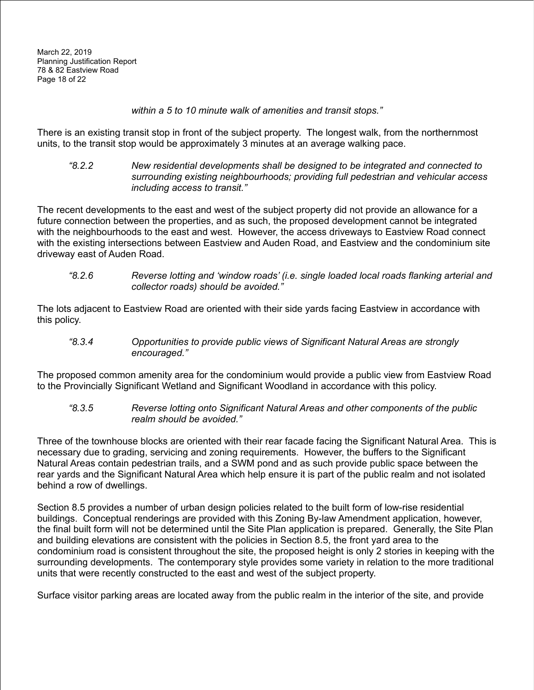*within a 5 to 10 minute walk of amenities and transit stops."*

There is an existing transit stop in front of the subject property. The longest walk, from the northernmost units, to the transit stop would be approximately 3 minutes at an average walking pace.

*"8.2.2 New residential developments shall be designed to be integrated and connected to surrounding existing neighbourhoods; providing full pedestrian and vehicular access including access to transit."*

The recent developments to the east and west of the subject property did not provide an allowance for a future connection between the properties, and as such, the proposed development cannot be integrated with the neighbourhoods to the east and west. However, the access driveways to Eastview Road connect with the existing intersections between Eastview and Auden Road, and Eastview and the condominium site driveway east of Auden Road.

*"8.2.6 Reverse lotting and 'window roads' (i.e. single loaded local roads flanking arterial and collector roads) should be avoided."*

The lots adjacent to Eastview Road are oriented with their side yards facing Eastview in accordance with this policy.

*"8.3.4 Opportunities to provide public views of Significant Natural Areas are strongly encouraged."*

The proposed common amenity area for the condominium would provide a public view from Eastview Road to the Provincially Significant Wetland and Significant Woodland in accordance with this policy.

*"8.3.5 Reverse lotting onto Significant Natural Areas and other components of the public realm should be avoided."*

Three of the townhouse blocks are oriented with their rear facade facing the Significant Natural Area. This is necessary due to grading, servicing and zoning requirements. However, the buffers to the Significant Natural Areas contain pedestrian trails, and a SWM pond and as such provide public space between the rear yards and the Significant Natural Area which help ensure it is part of the public realm and not isolated behind a row of dwellings.

Section 8.5 provides a number of urban design policies related to the built form of low-rise residential buildings. Conceptual renderings are provided with this Zoning By-law Amendment application, however, the final built form will not be determined until the Site Plan application is prepared. Generally, the Site Plan and building elevations are consistent with the policies in Section 8.5, the front yard area to the condominium road is consistent throughout the site, the proposed height is only 2 stories in keeping with the surrounding developments. The contemporary style provides some variety in relation to the more traditional units that were recently constructed to the east and west of the subject property.

Surface visitor parking areas are located away from the public realm in the interior of the site, and provide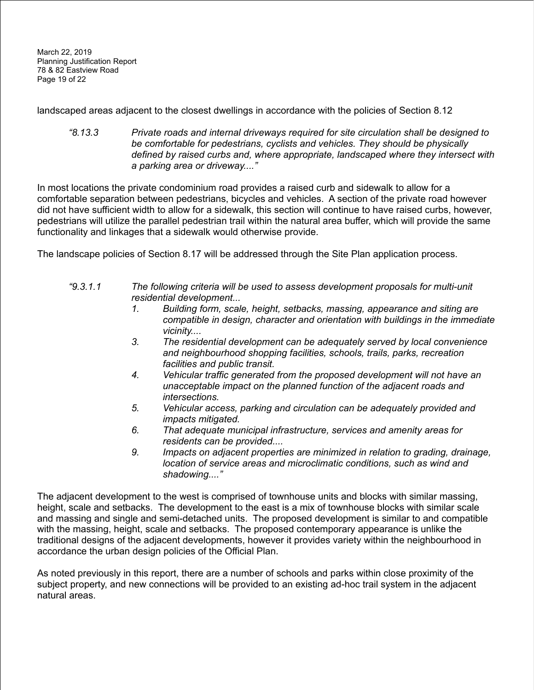March 22, 2019 Planning Justification Report 78 & 82 Eastview Road Page 19 of 22

landscaped areas adjacent to the closest dwellings in accordance with the policies of Section 8.12

*"8.13.3 Private roads and internal driveways required for site circulation shall be designed to be comfortable for pedestrians, cyclists and vehicles. They should be physically defined by raised curbs and, where appropriate, landscaped where they intersect with a parking area or driveway...."*

In most locations the private condominium road provides a raised curb and sidewalk to allow for a comfortable separation between pedestrians, bicycles and vehicles. A section of the private road however did not have sufficient width to allow for a sidewalk, this section will continue to have raised curbs, however, pedestrians will utilize the parallel pedestrian trail within the natural area buffer, which will provide the same functionality and linkages that a sidewalk would otherwise provide.

The landscape policies of Section 8.17 will be addressed through the Site Plan application process.

- *"9.3.1.1 The following criteria will be used to assess development proposals for multi-unit residential development...*
	- *1. Building form, scale, height, setbacks, massing, appearance and siting are compatible in design, character and orientation with buildings in the immediate vicinity....*
	- *3. The residential development can be adequately served by local convenience and neighbourhood shopping facilities, schools, trails, parks, recreation facilities and public transit.*
	- *4. Vehicular traffic generated from the proposed development will not have an unacceptable impact on the planned function of the adjacent roads and intersections.*
	- *5. Vehicular access, parking and circulation can be adequately provided and impacts mitigated.*
	- *6. That adequate municipal infrastructure, services and amenity areas for residents can be provided....*
	- *9. Impacts on adjacent properties are minimized in relation to grading, drainage, location of service areas and microclimatic conditions, such as wind and shadowing...."*

The adjacent development to the west is comprised of townhouse units and blocks with similar massing, height, scale and setbacks. The development to the east is a mix of townhouse blocks with similar scale and massing and single and semi-detached units. The proposed development is similar to and compatible with the massing, height, scale and setbacks. The proposed contemporary appearance is unlike the traditional designs of the adjacent developments, however it provides variety within the neighbourhood in accordance the urban design policies of the Official Plan.

As noted previously in this report, there are a number of schools and parks within close proximity of the subject property, and new connections will be provided to an existing ad-hoc trail system in the adjacent natural areas.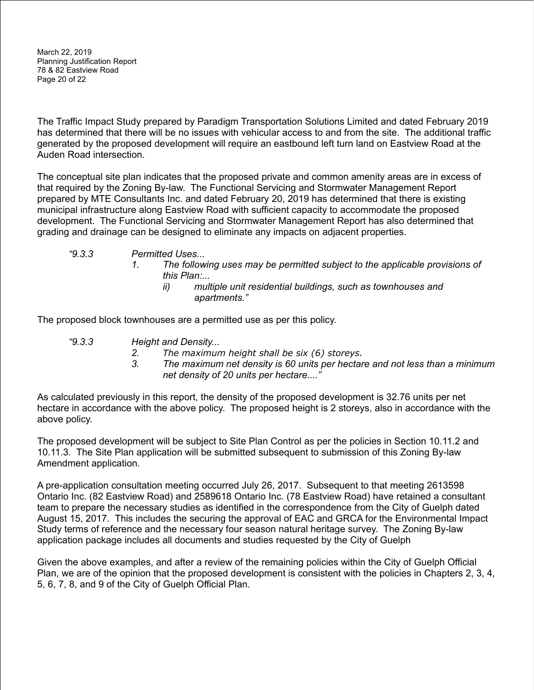March 22, 2019 Planning Justification Report 78 & 82 Eastview Road Page 20 of 22

The Traffic Impact Study prepared by Paradigm Transportation Solutions Limited and dated February 2019 has determined that there will be no issues with vehicular access to and from the site. The additional traffic generated by the proposed development will require an eastbound left turn land on Eastview Road at the Auden Road intersection.

The conceptual site plan indicates that the proposed private and common amenity areas are in excess of that required by the Zoning By-law. The Functional Servicing and Stormwater Management Report prepared by MTE Consultants Inc. and dated February 20, 2019 has determined that there is existing municipal infrastructure along Eastview Road with sufficient capacity to accommodate the proposed development. The Functional Servicing and Stormwater Management Report has also determined that grading and drainage can be designed to eliminate any impacts on adjacent properties.

- *"9.3.3 Permitted Uses...*
	- *1. The following uses may be permitted subject to the applicable provisions of this Plan:...*
		- *ii) multiple unit residential buildings, such as townhouses and apartments."*

The proposed block townhouses are a permitted use as per this policy.

- *"9.3.3 Height and Density...*
	- *2. The maximum height shall be six (6) storeys.*
	- *3. The maximum net density is 60 units per hectare and not less than a minimum net density of 20 units per hectare...."*

As calculated previously in this report, the density of the proposed development is 32.76 units per net hectare in accordance with the above policy. The proposed height is 2 storeys, also in accordance with the above policy.

The proposed development will be subject to Site Plan Control as per the policies in Section 10.11.2 and 10.11.3. The Site Plan application will be submitted subsequent to submission of this Zoning By-law Amendment application.

A pre-application consultation meeting occurred July 26, 2017. Subsequent to that meeting 2613598 Ontario Inc. (82 Eastview Road) and 2589618 Ontario Inc. (78 Eastview Road) have retained a consultant team to prepare the necessary studies as identified in the correspondence from the City of Guelph dated August 15, 2017. This includes the securing the approval of EAC and GRCA for the Environmental Impact Study terms of reference and the necessary four season natural heritage survey. The Zoning By-law application package includes all documents and studies requested by the City of Guelph

Given the above examples, and after a review of the remaining policies within the City of Guelph Official Plan, we are of the opinion that the proposed development is consistent with the policies in Chapters 2, 3, 4, 5, 6, 7, 8, and 9 of the City of Guelph Official Plan.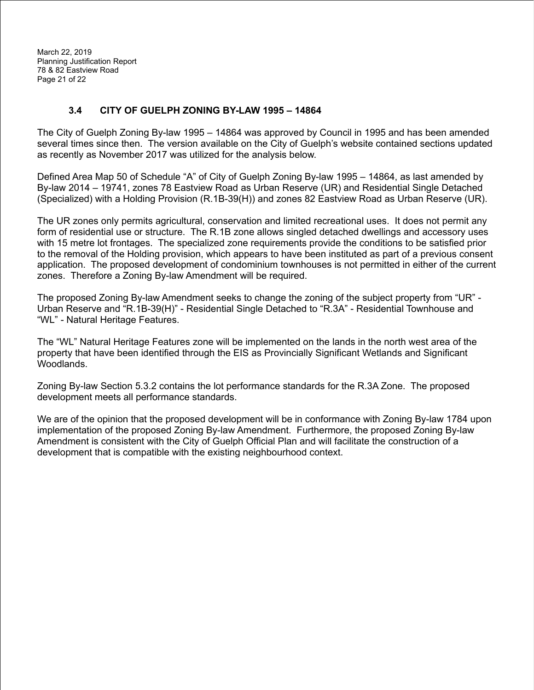March 22, 2019 Planning Justification Report 78 & 82 Eastview Road Page 21 of 22

#### <span id="page-21-0"></span>**3.4 CITY OF GUELPH ZONING BY-LAW 1995 – 14864**

The City of Guelph Zoning By-law 1995 – 14864 was approved by Council in 1995 and has been amended several times since then. The version available on the City of Guelph's website contained sections updated as recently as November 2017 was utilized for the analysis below.

Defined Area Map 50 of Schedule "A" of City of Guelph Zoning By-law 1995 – 14864, as last amended by By-law 2014 – 19741, zones 78 Eastview Road as Urban Reserve (UR) and Residential Single Detached (Specialized) with a Holding Provision (R.1B-39(H)) and zones 82 Eastview Road as Urban Reserve (UR).

The UR zones only permits agricultural, conservation and limited recreational uses. It does not permit any form of residential use or structure. The R.1B zone allows singled detached dwellings and accessory uses with 15 metre lot frontages. The specialized zone requirements provide the conditions to be satisfied prior to the removal of the Holding provision, which appears to have been instituted as part of a previous consent application. The proposed development of condominium townhouses is not permitted in either of the current zones. Therefore a Zoning By-law Amendment will be required.

The proposed Zoning By-law Amendment seeks to change the zoning of the subject property from "UR" - Urban Reserve and "R.1B-39(H)" - Residential Single Detached to "R.3A" - Residential Townhouse and "WL" - Natural Heritage Features.

The "WL" Natural Heritage Features zone will be implemented on the lands in the north west area of the property that have been identified through the EIS as Provincially Significant Wetlands and Significant Woodlands.

Zoning By-law Section 5.3.2 contains the lot performance standards for the R.3A Zone. The proposed development meets all performance standards.

We are of the opinion that the proposed development will be in conformance with Zoning By-law 1784 upon implementation of the proposed Zoning By-law Amendment. Furthermore, the proposed Zoning By-law Amendment is consistent with the City of Guelph Official Plan and will facilitate the construction of a development that is compatible with the existing neighbourhood context.